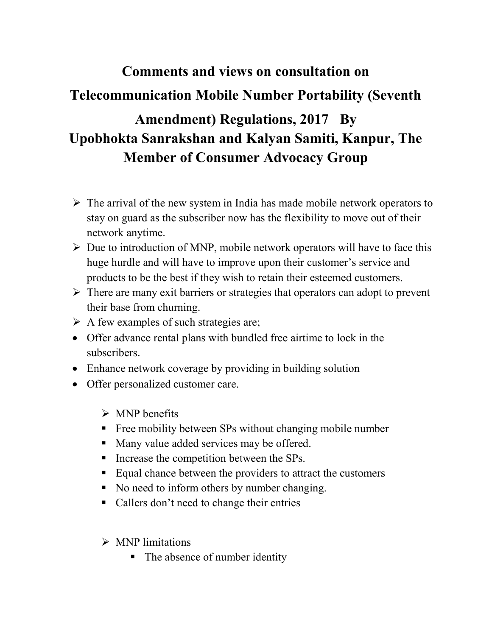## Comments and views on consultation on Telecommunication Mobile Number Portability (Seventh Amendment) Regulations, 2017 By Upobhokta Sanrakshan and Kalyan Samiti, Kanpur, The Member of Consumer Advocacy Group

- $\triangleright$  The arrival of the new system in India has made mobile network operators to stay on guard as the subscriber now has the flexibility to move out of their network anytime.
- $\triangleright$  Due to introduction of MNP, mobile network operators will have to face this huge hurdle and will have to improve upon their customer's service and products to be the best if they wish to retain their esteemed customers.
- $\triangleright$  There are many exit barriers or strategies that operators can adopt to prevent their base from churning.
- $\triangleright$  A few examples of such strategies are;
- Offer advance rental plans with bundled free airtime to lock in the subscribers.
- Enhance network coverage by providing in building solution
- Offer personalized customer care.
	- $\triangleright$  MNP benefits
	- **Five** Free mobility between SPs without changing mobile number
	- Many value added services may be offered.
	- Increase the competition between the SPs.
	- Equal chance between the providers to attract the customers
	- No need to inform others by number changing.
	- Callers don't need to change their entries
	- $\triangleright$  MNP limitations
		- The absence of number identity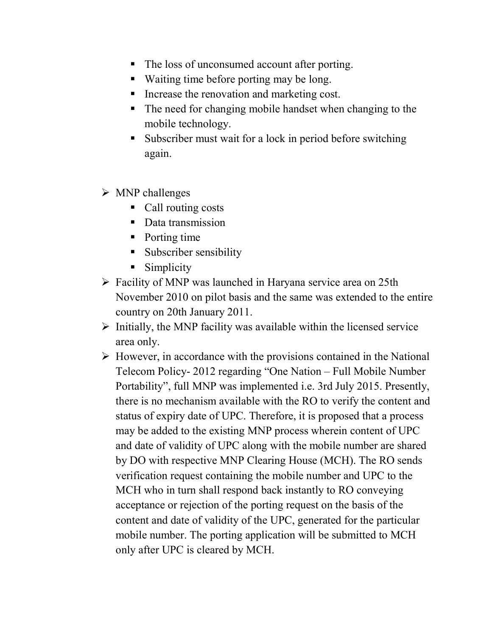- The loss of unconsumed account after porting.
- Waiting time before porting may be long.
- Increase the renovation and marketing cost.
- The need for changing mobile handset when changing to the mobile technology.
- Subscriber must wait for a lock in period before switching again.
- $\triangleright$  MNP challenges
	- Call routing costs
	- Data transmission
	- Porting time
	- **Subscriber sensibility**
	- Simplicity
- Facility of MNP was launched in Haryana service area on 25th November 2010 on pilot basis and the same was extended to the entire country on 20th January 2011.
- $\triangleright$  Initially, the MNP facility was available within the licensed service area only.
- $\triangleright$  However, in accordance with the provisions contained in the National Telecom Policy- 2012 regarding "One Nation – Full Mobile Number Portability", full MNP was implemented i.e. 3rd July 2015. Presently, there is no mechanism available with the RO to verify the content and status of expiry date of UPC. Therefore, it is proposed that a process may be added to the existing MNP process wherein content of UPC and date of validity of UPC along with the mobile number are shared by DO with respective MNP Clearing House (MCH). The RO sends verification request containing the mobile number and UPC to the MCH who in turn shall respond back instantly to RO conveying acceptance or rejection of the porting request on the basis of the content and date of validity of the UPC, generated for the particular mobile number. The porting application will be submitted to MCH only after UPC is cleared by MCH.